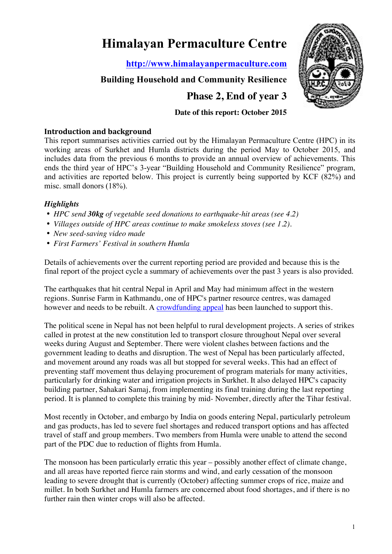# **Himalayan Permaculture Centre**

**http://www.himalayanpermaculture.com**

## **Building Household and Community Resilience**

**Phase 2, End of year 3**

## **Date of this report: October 2015**

## **Introduction and background**

This report summarises activities carried out by the Himalayan Permaculture Centre (HPC) in its working areas of Surkhet and Humla districts during the period May to October 2015, and includes data from the previous 6 months to provide an annual overview of achievements. This ends the third year of HPC's 3-year "Building Household and Community Resilience" program, and activities are reported below. This project is currently being supported by KCF (82%) and misc. small donors (18%).

## *Highlights*

- *HPC send 30kg of vegetable seed donations to earthquake-hit areas (see 4.2)*
- *Villages outside of HPC areas continue to make smokeless stoves (see 1.2).*
- *New seed-saving video made*
- *First Farmers' Festival in southern Humla*

Details of achievements over the current reporting period are provided and because this is the final report of the project cycle a summary of achievements over the past 3 years is also provided.

The earthquakes that hit central Nepal in April and May had minimum affect in the western regions. Sunrise Farm in Kathmandu, one of HPC's partner resource centres, was damaged however and needs to be rebuilt. A crowdfunding appeal has been launched to support this.

The political scene in Nepal has not been helpful to rural development projects. A series of strikes called in protest at the new constitution led to transport closure throughout Nepal over several weeks during August and September. There were violent clashes between factions and the government leading to deaths and disruption. The west of Nepal has been particularly affected, and movement around any roads was all but stopped for several weeks. This had an effect of preventing staff movement thus delaying procurement of program materials for many activities, particularly for drinking water and irrigation projects in Surkhet. It also delayed HPC's capacity building partner, Sahakari Samaj, from implementing its final training during the last reporting period. It is planned to complete this training by mid- November, directly after the Tihar festival.

Most recently in October, and embargo by India on goods entering Nepal, particularly petroleum and gas products, has led to severe fuel shortages and reduced transport options and has affected travel of staff and group members. Two members from Humla were unable to attend the second part of the PDC due to reduction of flights from Humla.

The monsoon has been particularly erratic this year – possibly another effect of climate change, and all areas have reported fierce rain storms and wind, and early cessation of the monsoon leading to severe drought that is currently (October) affecting summer crops of rice, maize and millet. In both Surkhet and Humla farmers are concerned about food shortages, and if there is no further rain then winter crops will also be affected.

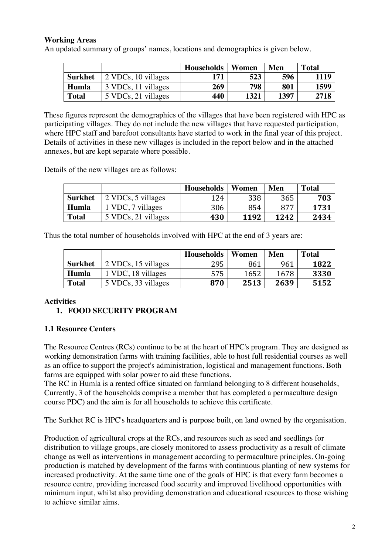## **Working Areas**

An updated summary of groups' names, locations and demographics is given below.

|                |                     | <b>Households</b> | Women | Men  | Total |
|----------------|---------------------|-------------------|-------|------|-------|
| <b>Surkhet</b> | 2 VDCs, 10 villages | 171               | 523   | 596  | 1119  |
| Humla          | 3 VDCs, 11 villages | 269               | 798   | 801  | 1599  |
| <b>Total</b>   | 5 VDCs, 21 villages | 440               | 1321  | 1397 | 2718  |

These figures represent the demographics of the villages that have been registered with HPC as participating villages. They do not include the new villages that have requested participation, where HPC staff and barefoot consultants have started to work in the final year of this project. Details of activities in these new villages is included in the report below and in the attached annexes, but are kept separate where possible.

Details of the new villages are as follows:

|                |                     | <b>Households</b> | Women | Men  | <b>Total</b> |
|----------------|---------------------|-------------------|-------|------|--------------|
| <b>Surkhet</b> | 2 VDCs, 5 villages  | 124               | 338   | 365  | 703          |
| Humla          | 1 VDC, 7 villages   | 306               | 854   | 877  | 1731         |
| <b>Total</b>   | 5 VDCs, 21 villages | 430               | 1192  | 1242 | 2434         |

Thus the total number of households involved with HPC at the end of 3 years are:

|                |                     | <b>Households</b> | Women | Men  | <b>Total</b> |
|----------------|---------------------|-------------------|-------|------|--------------|
| <b>Surkhet</b> | 2 VDCs, 15 villages | 295               | 861   | 961  | 1822         |
| Humla          | 1 VDC, 18 villages  | 575               | 1652  | 1678 | 3330         |
| <b>Total</b>   | 5 VDCs, 33 villages | 870               | 2513  | 2639 | 5152         |

## **Activities**

## **1. FOOD SECURITY PROGRAM**

## **1.1 Resource Centers**

The Resource Centres (RCs) continue to be at the heart of HPC's program. They are designed as working demonstration farms with training facilities, able to host full residential courses as well as an office to support the project's administration, logistical and management functions. Both farms are equipped with solar power to aid these functions.

The RC in Humla is a rented office situated on farmland belonging to 8 different households, Currently, 3 of the households comprise a member that has completed a permaculture design course PDC) and the aim is for all households to achieve this certificate.

The Surkhet RC is HPC's headquarters and is purpose built, on land owned by the organisation.

Production of agricultural crops at the RCs, and resources such as seed and seedlings for distribution to village groups, are closely monitored to assess productivity as a result of climate change as well as interventions in management according to permaculture principles. On-going production is matched by development of the farms with continuous planting of new systems for increased productivity. At the same time one of the goals of HPC is that every farm becomes a resource centre, providing increased food security and improved livelihood opportunities with minimum input, whilst also providing demonstration and educational resources to those wishing to achieve similar aims.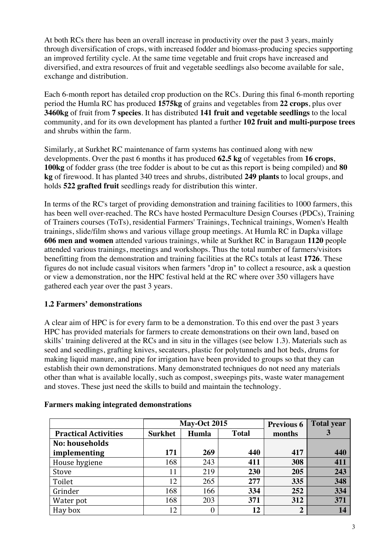At both RCs there has been an overall increase in productivity over the past 3 years, mainly through diversification of crops, with increased fodder and biomass-producing species supporting an improved fertility cycle. At the same time vegetable and fruit crops have increased and diversified, and extra resources of fruit and vegetable seedlings also become available for sale, exchange and distribution.

Each 6-month report has detailed crop production on the RCs. During this final 6-month reporting period the Humla RC has produced **1575kg** of grains and vegetables from **22 crops**, plus over **3460kg** of fruit from **7 species**. It has distributed **141 fruit and vegetable seedlings** to the local community, and for its own development has planted a further **102 fruit and multi-purpose trees** and shrubs within the farm.

Similarly, at Surkhet RC maintenance of farm systems has continued along with new developments. Over the past 6 months it has produced **62.5 kg** of vegetables from **16 crops**, **100kg** of fodder grass (the tree fodder is about to be cut as this report is being compiled) and **80 kg** of firewood. It has planted 340 trees and shrubs, distributed **249 plants** to local groups, and holds **522 grafted fruit** seedlings ready for distribution this winter.

In terms of the RC's target of providing demonstration and training facilities to 1000 farmers, this has been well over-reached. The RCs have hosted Permaculture Design Courses (PDCs), Training of Trainers courses (ToTs), residential Farmers' Trainings, Technical trainings, Women's Health trainings, slide/film shows and various village group meetings. At Humla RC in Dapka village **606 men and women** attended various trainings, while at Surkhet RC in Baragaun **1120** people attended various trainings, meetings and workshops. Thus the total number of farmers/visitors benefitting from the demonstration and training facilities at the RCs totals at least **1726**. These figures do not include casual visitors when farmers "drop in" to collect a resource, ask a question or view a demonstration, nor the HPC festival held at the RC where over 350 villagers have gathered each year over the past 3 years.

## **1.2 Farmers' demonstrations**

A clear aim of HPC is for every farm to be a demonstration. To this end over the past 3 years HPC has provided materials for farmers to create demonstrations on their own land, based on skills' training delivered at the RCs and in situ in the villages (see below 1.3). Materials such as seed and seedlings, grafting knives, secateurs, plastic for polytunnels and hot beds, drums for making liquid manure, and pipe for irrigation have been provided to groups so that they can establish their own demonstrations. Many demonstrated techniques do not need any materials other than what is available locally, such as compost, sweepings pits, waste water management and stoves. These just need the skills to build and maintain the technology.

|                             |                | <b>May-Oct 2015</b> | <b>Previous 6</b> | <b>Total year</b> |     |
|-----------------------------|----------------|---------------------|-------------------|-------------------|-----|
| <b>Practical Activities</b> | <b>Surkhet</b> | Humla               | <b>Total</b>      | months            |     |
| No: households              |                |                     |                   |                   |     |
| implementing                | 171            | 269                 | 440               | 417               | 440 |
| House hygiene               | 168            | 243                 | 411               | 308               | 411 |
| Stove                       | 11             | 219                 | 230               | 205               | 243 |
| Toilet                      | 12             | 265                 | 277               | 335               | 348 |
| Grinder                     | 168            | 166                 | 334               | 252               | 334 |
| Water pot                   | 168            | 203                 | 371               | 312               | 371 |
| Hay box                     | 12             | 0                   | 12                | $\overline{2}$    | 14  |

## **Farmers making integrated demonstrations**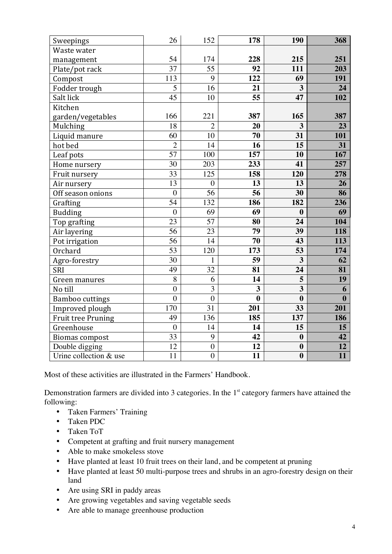| Sweepings                 | 26              | 152              | 178              | 190                     | 368             |
|---------------------------|-----------------|------------------|------------------|-------------------------|-----------------|
| Waste water               |                 |                  |                  |                         |                 |
| management                | 54              | 174              | 228              | 215                     | 251             |
| Plate/pot rack            | $\overline{37}$ | $\overline{55}$  | 92               | 111                     | 203             |
| Compost                   | 113             | 9                | 122              | 69                      | 191             |
| Fodder trough             | 5               | 16               | 21               | $\overline{\mathbf{3}}$ | 24              |
| Salt lick                 | $\overline{45}$ | 10               | 55               | 47                      | 102             |
| Kitchen                   |                 |                  |                  |                         |                 |
| garden/vegetables         | 166             | 221              | 387              | 165                     | 387             |
| Mulching                  | 18              | $\overline{2}$   | 20               | 3                       | 23              |
| Liquid manure             | 60              | 10               | 70               | 31                      | 101             |
| hot bed                   | $\overline{2}$  | 14               | 16               | $\overline{15}$         | 31              |
| Leaf pots                 | $\overline{57}$ | 100              | 157              | 10                      | 167             |
| Home nursery              | 30              | 203              | 233              | 41                      | 257             |
| Fruit nursery             | 33              | 125              | 158              | 120                     | 278             |
| Air nursery               | $\overline{13}$ | $\boldsymbol{0}$ | 13               | 13                      | $\overline{26}$ |
| Off season onions         | $\mathbf{0}$    | $\overline{56}$  | 56               | 30                      | 86              |
| Grafting                  | $\overline{54}$ | 132              | 186              | 182                     | 236             |
| <b>Budding</b>            | $\overline{0}$  | 69               | 69               | $\bf{0}$                | 69              |
| Top grafting              | 23              | 57               | 80               | 24                      | 104             |
| Air layering              | $\overline{56}$ | $\overline{23}$  | $\overline{79}$  | 39                      | 118             |
| Pot irrigation            | $\overline{56}$ | 14               | 70               | 43                      | 113             |
| Orchard                   | $\overline{53}$ | 120              | 173              | 53                      | 174             |
| Agro-forestry             | $\overline{30}$ | $\mathbf{1}$     | 59               | $\overline{\mathbf{3}}$ | $\overline{62}$ |
| <b>SRI</b>                | 49              | 32               | 81               | 24                      | 81              |
| Green manures             | 8               | 6                | 14               | 5                       | 19              |
| No till                   | $\overline{0}$  | $\overline{3}$   | 3                | $\overline{\mathbf{3}}$ | 6               |
| <b>Bamboo</b> cuttings    | $\overline{0}$  | $\overline{0}$   | $\boldsymbol{0}$ | $\boldsymbol{0}$        | $\bf{0}$        |
| Improved plough           | 170             | $\overline{31}$  | 201              | 33                      | 201             |
| <b>Fruit tree Pruning</b> | 49              | 136              | 185              | 137                     | 186             |
| Greenhouse                | $\overline{0}$  | 14               | 14               | 15                      | 15              |
| <b>Biomas compost</b>     | 33              | 9                | 42               | $\boldsymbol{0}$        | 42              |
| Double digging            | 12              | $\boldsymbol{0}$ | 12               | $\boldsymbol{0}$        | 12              |
| Urine collection & use    | $\overline{11}$ | $\overline{0}$   | $\overline{11}$  | $\boldsymbol{0}$        | $\overline{11}$ |

Most of these activities are illustrated in the Farmers' Handbook.

Demonstration farmers are divided into 3 categories. In the  $1<sup>st</sup>$  category farmers have attained the following:

- Taken Farmers' Training
- Taken PDC
- Taken ToT
- Competent at grafting and fruit nursery management
- Able to make smokeless stove
- Have planted at least 10 fruit trees on their land, and be competent at pruning
- Have planted at least 50 multi-purpose trees and shrubs in an agro-forestry design on their land
- Are using SRI in paddy areas
- Are growing vegetables and saving vegetable seeds
- Are able to manage greenhouse production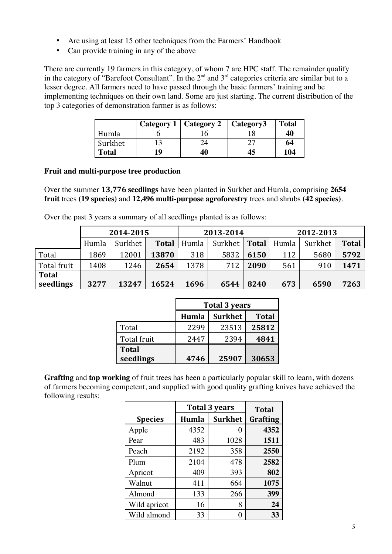- Are using at least 15 other techniques from the Farmers' Handbook
- Can provide training in any of the above

There are currently 19 farmers in this category, of whom 7 are HPC staff. The remainder qualify in the category of "Barefoot Consultant". In the  $2<sup>nd</sup>$  and  $3<sup>rd</sup>$  categories criteria are similar but to a lesser degree. All farmers need to have passed through the basic farmers' training and be implementing techniques on their own land. Some are just starting. The current distribution of the top 3 categories of demonstration farmer is as follows:

|              | Category 1   Category 2 | Category3 | <b>Total</b> |
|--------------|-------------------------|-----------|--------------|
| Humla        |                         |           | 40           |
| Surkhet      |                         |           | 64           |
| <b>Total</b> | 40                      | 45        | 104          |

## **Fruit and multi-purpose tree production**

Over the summer **13,776 seedlings** have been planted in Surkhet and Humla, comprising **2654 fruit** trees **(19 species)** and **12,496 multi-purpose agroforestry** trees and shrubs **(42 species)**.

Over the past 3 years a summary of all seedlings planted is as follows:

|              | 2014-2015 |         | 2013-2014    |       |         | 2012-2013    |       |         |              |
|--------------|-----------|---------|--------------|-------|---------|--------------|-------|---------|--------------|
|              | Humla     | Surkhet | <b>Total</b> | Humla | Surkhet | <b>Total</b> | Humla | Surkhet | <b>Total</b> |
| Total        | 1869      | 12001   | 13870        | 318   | 5832    | 6150         | 112   | 5680    | 5792         |
| Total fruit  | 1408      | 1246    | 2654         | 1378  | 712     | 2090         | 561   | 910     | 1471         |
| <b>Total</b> |           |         |              |       |         |              |       |         |              |
| seedlings    | 3277      | 13247   | 16524        | 1696  | 6544    | 8240         | 673   | 6590    | 7263         |

|              | <b>Total 3 years</b> |                |              |  |  |  |
|--------------|----------------------|----------------|--------------|--|--|--|
|              | Humla                | <b>Surkhet</b> | <b>Total</b> |  |  |  |
| Total        | 2299                 | 23513          | 25812        |  |  |  |
| Total fruit  | 2447                 | 2394           | 4841         |  |  |  |
| <b>Total</b> |                      |                |              |  |  |  |
| seedlings    | 4746                 | 25907          | 30653        |  |  |  |

**Grafting** and **top working** of fruit trees has been a particularly popular skill to learn, with dozens of farmers becoming competent, and supplied with good quality grafting knives have achieved the following results:

|                | <b>Total 3 years</b> | <b>Total</b>   |          |
|----------------|----------------------|----------------|----------|
| <b>Species</b> | Humla                | <b>Surkhet</b> | Grafting |
| Apple          | 4352                 |                | 4352     |
| Pear           | 483                  | 1028           | 1511     |
| Peach          | 2192                 | 358            | 2550     |
| Plum           | 2104                 | 478            | 2582     |
| Apricot        | 409                  | 393            | 802      |
| Walnut         | 411                  | 664            | 1075     |
| Almond         | 133                  | 266            | 399      |
| Wild apricot   | 16                   | 8              | 24       |
| Wild almond    | 33                   |                | 33       |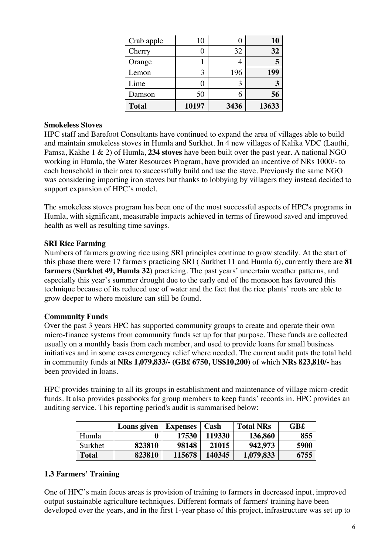| Crab apple   | 10    |      | 10    |
|--------------|-------|------|-------|
| Cherry       |       | 32   | 32    |
| Orange       |       |      |       |
| Lemon        |       | 196  | 199   |
| Lime         |       |      |       |
| Damson       | 50    |      | 56    |
| <b>Total</b> | 10197 | 3436 | 13633 |

#### **Smokeless Stoves**

HPC staff and Barefoot Consultants have continued to expand the area of villages able to build and maintain smokeless stoves in Humla and Surkhet. In 4 new villages of Kalika VDC (Lauthi, Pamsa, Kakhe 1 & 2) of Humla, **234 stoves** have been built over the past year. A national NGO working in Humla, the Water Resources Program, have provided an incentive of NRs 1000/- to each household in their area to successfully build and use the stove. Previously the same NGO was considering importing iron stoves but thanks to lobbying by villagers they instead decided to support expansion of HPC's model.

The smokeless stoves program has been one of the most successful aspects of HPC's programs in Humla, with significant, measurable impacts achieved in terms of firewood saved and improved health as well as resulting time savings.

## **SRI Rice Farming**

Numbers of farmers growing rice using SRI principles continue to grow steadily. At the start of this phase there were 17 farmers practicing SRI ( Surkhet 11 and Humla 6), currently there are **81 farmers (Surkhet 49, Humla 32**) practicing. The past years' uncertain weather patterns, and especially this year's summer drought due to the early end of the monsoon has favoured this technique because of its reduced use of water and the fact that the rice plants' roots are able to grow deeper to where moisture can still be found.

#### **Community Funds**

Over the past 3 years HPC has supported community groups to create and operate their own micro-finance systems from community funds set up for that purpose. These funds are collected usually on a monthly basis from each member, and used to provide loans for small business initiatives and in some cases emergency relief where needed. The current audit puts the total held in community funds at **NRs 1,079,833/- (GB£ 6750, US\$10,200)** of which **NRs 823,810/-** has been provided in loans.

HPC provides training to all its groups in establishment and maintenance of village micro-credit funds. It also provides passbooks for group members to keep funds' records in. HPC provides an auditing service. This reporting period's audit is summarised below:

|              | Loans given | <b>Expenses</b> | Cash   | <b>Total NRs</b> | GB£  |
|--------------|-------------|-----------------|--------|------------------|------|
| Humla        |             | 17530           | 119330 | 136,860          | 855  |
| Surkhet      | 823810      | 98148           | 21015  | 942.973          | 5900 |
| <b>Total</b> | 823810      | 115678          | 140345 | 1,079,833        | 6755 |

## **1.3 Farmers' Training**

One of HPC's main focus areas is provision of training to farmers in decreased input, improved output sustainable agriculture techniques. Different formats of farmers' training have been developed over the years, and in the first 1-year phase of this project, infrastructure was set up to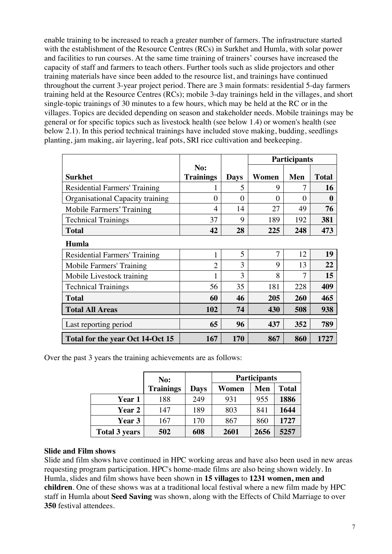enable training to be increased to reach a greater number of farmers. The infrastructure started with the establishment of the Resource Centres (RCs) in Surkhet and Humla, with solar power and facilities to run courses. At the same time training of trainers' courses have increased the capacity of staff and farmers to teach others. Further tools such as slide projectors and other training materials have since been added to the resource list, and trainings have continued throughout the current 3-year project period. There are 3 main formats: residential 5-day farmers training held at the Resource Centres (RCs); mobile 3-day trainings held in the villages, and short single-topic trainings of 30 minutes to a few hours, which may be held at the RC or in the villages. Topics are decided depending on season and stakeholder needs. Mobile trainings may be general or for specific topics such as livestock health (see below 1.4) or women's health (see below 2.1). In this period technical trainings have included stove making, budding, seedlings planting, jam making, air layering, leaf pots, SRI rice cultivation and beekeeping.

|                                  |                  |             | <b>Participants</b> |          |              |
|----------------------------------|------------------|-------------|---------------------|----------|--------------|
|                                  | No:              |             |                     |          |              |
| <b>Surkhet</b>                   | <b>Trainings</b> | <b>Days</b> | Women               | Men      | <b>Total</b> |
| Residential Farmers' Training    |                  | 5           | 9                   | 7        | 16           |
| Organisational Capacity training | $\Omega$         | $\theta$    | $\theta$            | $\Omega$ | 0            |
| <b>Mobile Farmers' Training</b>  | 4                | 14          | 27                  | 49       | 76           |
| <b>Technical Trainings</b>       | 37               | 9           | 189                 | 192      | 381          |
| <b>Total</b>                     | 42               | 28          | 225                 | 248      | 473          |
| Humla                            |                  |             |                     |          |              |
| Residential Farmers' Training    | 1                | 5           | $\tau$              | 12       | 19           |
| Mobile Farmers' Training         | $\overline{2}$   | 3           | 9                   | 13       | 22           |
| Mobile Livestock training        | 1                | 3           | 8                   | 7        | 15           |
| <b>Technical Trainings</b>       | 56               | 35          | 181                 | 228      | 409          |
| <b>Total</b>                     | 60               | 46          | 205                 | 260      | 465          |
| <b>Total All Areas</b>           | 102              | 74          | 430                 | 508      | 938          |
| Last reporting period            | 65               | 96          | 437                 | 352      | 789          |
| Total for the year Oct 14-Oct 15 | 167              | 170         | 867                 | 860      | 1727         |

Over the past 3 years the training achievements are as follows:

|                      | No:              |      | <b>Participants</b> |      |              |
|----------------------|------------------|------|---------------------|------|--------------|
|                      | <b>Trainings</b> | Days | Women               | Men  | <b>Total</b> |
| <b>Year 1</b>        | 188              | 249  | 931                 | 955  | 1886         |
| <b>Year 2</b>        | 147              | 189  | 803                 | 841  | 1644         |
| Year 3               | 167              | 170  | 867                 | 860  | 1727         |
| <b>Total 3 years</b> | 502              | 608  | 2601                | 2656 | 5257         |

#### **Slide and Film shows**

Slide and film shows have continued in HPC working areas and have also been used in new areas requesting program participation. HPC's home-made films are also being shown widely. In Humla, slides and film shows have been shown in **15 villages** to **1231 women, men and children**. One of these shows was at a traditional local festival where a new film made by HPC staff in Humla about **Seed Saving** was shown, along with the Effects of Child Marriage to over **350** festival attendees.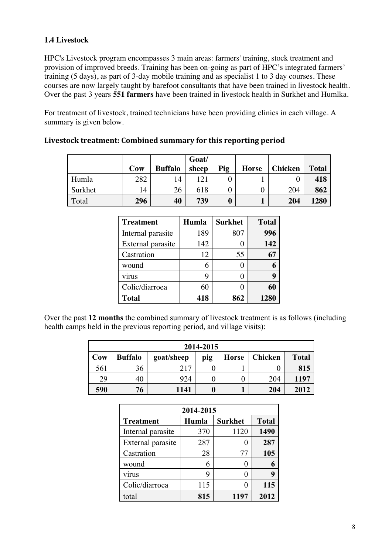## **1.4 Livestock**

HPC's Livestock program encompasses 3 main areas: farmers' training, stock treatment and provision of improved breeds. Training has been on-going as part of HPC's integrated farmers' training (5 days), as part of 3-day mobile training and as specialist 1 to 3 day courses. These courses are now largely taught by barefoot consultants that have been trained in livestock health. Over the past 3 years **551 farmers** have been trained in livestock health in Surkhet and Humlka.

For treatment of livestock, trained technicians have been providing clinics in each village. A summary is given below.

|         | Cow | <b>Buffalo</b> | Goat/<br>sheep | Pig      | <b>Horse</b> | <b>Chicken</b> | <b>Total</b> |
|---------|-----|----------------|----------------|----------|--------------|----------------|--------------|
| Humla   | 282 | 14             | 121            |          |              |                | 418          |
| Surkhet | 14  | 26             | 618            | 0        |              | 204            | 862          |
| Total   | 296 | 40             | 739            | $\bf{0}$ |              | 204            | 1280         |

Livestock treatment: Combined summary for this reporting period

| <b>Treatment</b>  | Humla | <b>Surkhet</b> | <b>Total</b> |
|-------------------|-------|----------------|--------------|
| Internal parasite | 189   | 807            | 996          |
| External parasite | 142   |                | 142          |
| Castration        | 12    | 55             |              |
| wound             | 6     |                |              |
| virus             | Q     |                | q            |
| Colic/diarroea    | 60    |                | 60           |
| <b>Total</b>      | 418   | 862            | 1280         |

Over the past **12 months** the combined summary of livestock treatment is as follows (including health camps held in the previous reporting period, and village visits):

| 2014-2015                                                                                    |    |      |   |  |     |      |  |  |  |  |
|----------------------------------------------------------------------------------------------|----|------|---|--|-----|------|--|--|--|--|
| <b>Buffalo</b><br><b>Chicken</b><br>Cow<br><b>Horse</b><br>goat/sheep<br><b>Total</b><br>pig |    |      |   |  |     |      |  |  |  |  |
| 561                                                                                          | 36 | 217  |   |  |     | 815  |  |  |  |  |
| 29                                                                                           |    | 924  |   |  | 204 | 1197 |  |  |  |  |
| 590                                                                                          | 76 | 1141 | 0 |  | 204 | 2012 |  |  |  |  |

| 2014-2015                                                   |     |      |      |  |  |  |  |  |  |
|-------------------------------------------------------------|-----|------|------|--|--|--|--|--|--|
| <b>Total</b><br>Humla<br><b>Surkhet</b><br><b>Treatment</b> |     |      |      |  |  |  |  |  |  |
| Internal parasite                                           | 370 | 1120 | 1490 |  |  |  |  |  |  |
| External parasite                                           | 287 |      | 287  |  |  |  |  |  |  |
| Castration                                                  | 28  | 77   | 105  |  |  |  |  |  |  |
| wound                                                       | 6   |      | 6    |  |  |  |  |  |  |
| virus                                                       | 9   |      | 9    |  |  |  |  |  |  |
| Colic/diarroea                                              | 115 |      | 115  |  |  |  |  |  |  |
| total                                                       | 815 | 1197 | 2012 |  |  |  |  |  |  |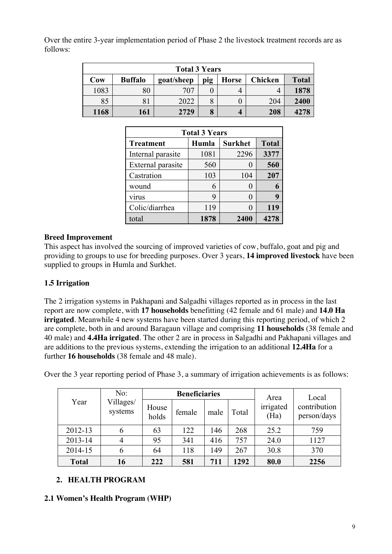Over the entire 3-year implementation period of Phase 2 the livestock treatment records are as follows:

| <b>Total 3 Years</b> |                                                                                       |      |   |   |     |      |  |  |  |  |
|----------------------|---------------------------------------------------------------------------------------|------|---|---|-----|------|--|--|--|--|
| Cow                  | <b>Buffalo</b><br>pig<br><b>Chicken</b><br><b>Total</b><br><b>Horse</b><br>goat/sheep |      |   |   |     |      |  |  |  |  |
| 1083                 | 80                                                                                    | 707  |   |   |     | 1878 |  |  |  |  |
| 85                   | 81                                                                                    | 2022 |   |   | 204 | 2400 |  |  |  |  |
| 1168                 | 161                                                                                   | 2729 | 8 | 4 | 208 | 4278 |  |  |  |  |

| <b>Total 3 Years</b>                                        |      |      |      |  |  |  |  |  |  |
|-------------------------------------------------------------|------|------|------|--|--|--|--|--|--|
| <b>Surkhet</b><br>Humla<br><b>Total</b><br><b>Treatment</b> |      |      |      |  |  |  |  |  |  |
| Internal parasite                                           | 1081 | 2296 | 3377 |  |  |  |  |  |  |
| External parasite                                           | 560  |      | 560  |  |  |  |  |  |  |
| Castration                                                  | 103  | 104  | 207  |  |  |  |  |  |  |
| wound                                                       | 6    |      |      |  |  |  |  |  |  |
| virus                                                       | 9    |      |      |  |  |  |  |  |  |
| Colic/diarrhea                                              | 119  |      | 119  |  |  |  |  |  |  |
| total                                                       | 1878 | 2400 | 4278 |  |  |  |  |  |  |

## **Breed Improvement**

This aspect has involved the sourcing of improved varieties of cow, buffalo, goat and pig and providing to groups to use for breeding purposes. Over 3 years, **14 improved livestock** have been supplied to groups in Humla and Surkhet.

## **1.5 Irrigation**

The 2 irrigation systems in Pakhapani and Salgadhi villages reported as in process in the last report are now complete, with **17 households** benefitting (42 female and 61 male) and **14.0 Ha irrigated**. Meanwhile 4 new systems have been started during this reporting period, of which 2 are complete, both in and around Baragaun village and comprising **11 households** (38 female and 40 male) and **4.4Ha irrigated**. The other 2 are in process in Salgadhi and Pakhapani villages and are additions to the previous systems, extending the irrigation to an additional **12.4Ha** for a further **16 households** (38 female and 48 male).

| No:          |                      | <b>Beneficiaries</b> |        | Area | Local |                   |                             |
|--------------|----------------------|----------------------|--------|------|-------|-------------------|-----------------------------|
| Year         | Villages/<br>systems | House<br>holds       | female | male | Total | irrigated<br>(Ha) | contribution<br>person/days |
| 2012-13      | 6                    | 63                   | 122    | 146  | 268   | 25.2              | 759                         |
| 2013-14      |                      | 95                   | 341    | 416  | 757   | 24.0              | 1127                        |
| 2014-15      | 6                    | 64                   | 118    | 149  | 267   | 30.8              | 370                         |
| <b>Total</b> | 16                   | 222                  | 581    | 711  | 1292  | 80.0              | 2256                        |

Over the 3 year reporting period of Phase 3, a summary of irrigation achievements is as follows:

## **2. HEALTH PROGRAM**

## **2.1 Women's Health Program (WHP)**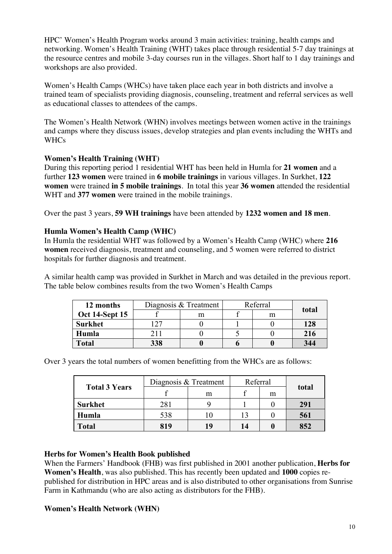HPC' Women's Health Program works around 3 main activities: training, health camps and networking. Women's Health Training (WHT) takes place through residential 5-7 day trainings at the resource centres and mobile 3-day courses run in the villages. Short half to 1 day trainings and workshops are also provided.

Women's Health Camps (WHCs) have taken place each year in both districts and involve a trained team of specialists providing diagnosis, counseling, treatment and referral services as well as educational classes to attendees of the camps.

The Women's Health Network (WHN) involves meetings between women active in the trainings and camps where they discuss issues, develop strategies and plan events including the WHTs and **WHCs** 

## **Women's Health Training (WHT)**

During this reporting period 1 residential WHT has been held in Humla for **21 women** and a further **123 women** were trained in **6 mobile trainings** in various villages. In Surkhet, **122 women** were trained **in 5 mobile trainings**. In total this year **36 women** attended the residential WHT and **377 women** were trained in the mobile trainings.

Over the past 3 years, **59 WH trainings** have been attended by **1232 women and 18 men**.

## **Humla Women's Health Camp (WHC)**

In Humla the residential WHT was followed by a Women's Health Camp (WHC) where **216 women** received diagnosis, treatment and counseling, and 5 women were referred to district hospitals for further diagnosis and treatment.

A similar health camp was provided in Surkhet in March and was detailed in the previous report. The table below combines results from the two Women's Health Camps

| 12 months             |     | Diagnosis & Treatment | Referral |   |       |
|-----------------------|-----|-----------------------|----------|---|-------|
| <b>Oct 14-Sept 15</b> |     | m                     |          | m | total |
| <b>Surkhet</b>        |     |                       |          |   | 128   |
| Humla                 | 211 |                       |          |   | 216   |
| <b>Total</b>          | 338 |                       |          |   | 344   |

Over 3 years the total numbers of women benefitting from the WHCs are as follows:

| <b>Total 3 Years</b> | Diagnosis & Treatment | Referral |    |   |       |
|----------------------|-----------------------|----------|----|---|-------|
|                      |                       | m        |    | m | total |
| <b>Surkhet</b>       | 281                   |          |    |   | 291   |
| Humla                | 538                   |          |    |   | 561   |
| <b>Total</b>         | 819                   | 19       | 14 |   | 852   |

## **Herbs for Women's Health Book published**

When the Farmers' Handbook (FHB) was first published in 2001 another publication, **Herbs for Women's Health**, was also published. This has recently been updated and **1000** copies republished for distribution in HPC areas and is also distributed to other organisations from Sunrise Farm in Kathmandu (who are also acting as distributors for the FHB).

#### **Women's Health Network (WHN)**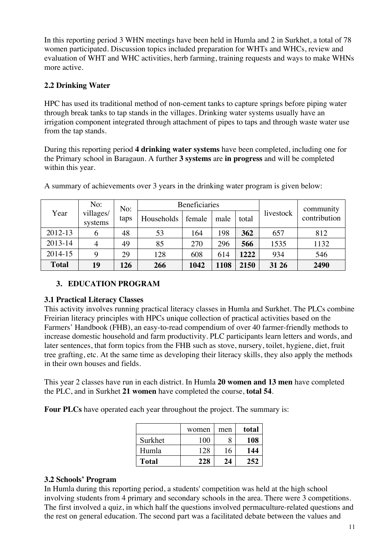In this reporting period 3 WHN meetings have been held in Humla and 2 in Surkhet, a total of 78 women participated. Discussion topics included preparation for WHTs and WHCs, review and evaluation of WHT and WHC activities, herb farming, training requests and ways to make WHNs more active.

## **2.2 Drinking Water**

HPC has used its traditional method of non-cement tanks to capture springs before piping water through break tanks to tap stands in the villages. Drinking water systems usually have an irrigation component integrated through attachment of pipes to taps and through waste water use from the tap stands.

During this reporting period **4 drinking water systems** have been completed, including one for the Primary school in Baragaun. A further **3 systems** are **in progress** and will be completed within this year.

|              | No:                  | No:  | <b>Beneficiaries</b> |        |      |       |           | community    |
|--------------|----------------------|------|----------------------|--------|------|-------|-----------|--------------|
| Year         | villages/<br>systems | taps | Households           | female | male | total | livestock | contribution |
| 2012-13      |                      | 48   | 53                   | 164    | 198  | 362   | 657       | 812          |
| 2013-14      |                      | 49   | 85                   | 270    | 296  | 566   | 1535      | 1132         |
| 2014-15      |                      | 29   | 128                  | 608    | 614  | 1222  | 934       | 546          |
| <b>Total</b> | 19                   | 126  | 266                  | 1042   | 1108 | 2150  | 31 26     | 2490         |

A summary of achievements over 3 years in the drinking water program is given below:

## **3. EDUCATION PROGRAM**

## **3.1 Practical Literacy Classes**

This activity involves running practical literacy classes in Humla and Surkhet. The PLCs combine Freirian literacy principles with HPCs unique collection of practical activities based on the Farmers' Handbook (FHB), an easy-to-read compendium of over 40 farmer-friendly methods to increase domestic household and farm productivity. PLC participants learn letters and words, and later sentences, that form topics from the FHB such as stove, nursery, toilet, hygiene, diet, fruit tree grafting, etc. At the same time as developing their literacy skills, they also apply the methods in their own houses and fields.

This year 2 classes have run in each district. In Humla **20 women and 13 men** have completed the PLC, and in Surkhet **21 women** have completed the course, **total 54**.

**Four PLCs** have operated each year throughout the project. The summary is:

|              | women | men | total |
|--------------|-------|-----|-------|
| Surkhet      | 100   |     | 108   |
| Humla        | 128   | 16  | 144   |
| <b>Total</b> | 228   | 24  | 252   |

## **3.2 Schools' Program**

In Humla during this reporting period, a students' competition was held at the high school involving students from 4 primary and secondary schools in the area. There were 3 competitions. The first involved a quiz, in which half the questions involved permaculture-related questions and the rest on general education. The second part was a facilitated debate between the values and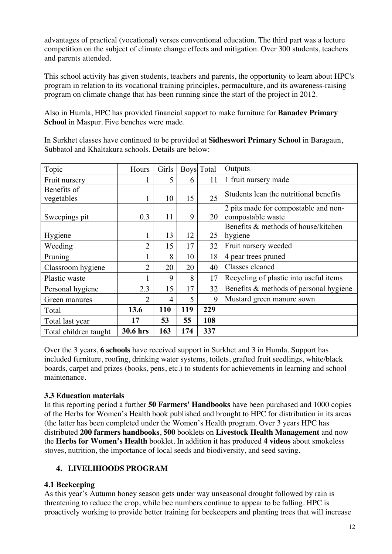advantages of practical (vocational) verses conventional education. The third part was a lecture competition on the subject of climate change effects and mitigation. Over 300 students, teachers and parents attended.

This school activity has given students, teachers and parents, the opportunity to learn about HPC's program in relation to its vocational training principles, permaculture, and its awareness-raising program on climate change that has been running since the start of the project in 2012.

Also in Humla, HPC has provided financial support to make furniture for **Banadev Primary School** in Maspur. Five benches were made.

In Surkhet classes have continued to be provided at **Sidheswori Primary School** in Baragaun, Subbatol and Khaltakura schools. Details are below:

| Topic                     | Hours          | Girls |     | Boys Total | Outputs                                                   |
|---------------------------|----------------|-------|-----|------------|-----------------------------------------------------------|
| Fruit nursery             |                | 5     | 6   | 11         | 1 fruit nursery made                                      |
| Benefits of<br>vegetables |                | 10    | 15  | 25         | Students lean the nutritional benefits                    |
| Sweepings pit             | 0.3            | 11    | 9   | 20         | 2 pits made for compostable and non-<br>compostable waste |
|                           |                |       |     |            | Benefits & methods of house/kitchen                       |
| Hygiene                   |                | 13    | 12  | 25         | hygiene                                                   |
| Weeding                   | $\overline{2}$ | 15    | 17  | 32         | Fruit nursery weeded                                      |
| Pruning                   |                | 8     | 10  | 18         | 4 pear trees pruned                                       |
| Classroom hygiene         | 2              | 20    | 20  | 40         | Classes cleaned                                           |
| Plastic waste             |                | 9     | 8   | 17         | Recycling of plastic into useful items                    |
| Personal hygiene          | 2.3            | 15    | 17  | 32         | Benefits & methods of personal hygiene                    |
| Green manures             | 2              | 4     | 5   | 9          | Mustard green manure sown                                 |
| Total                     | 13.6           | 110   | 119 | 229        |                                                           |
| Total last year           | 17             | 53    | 55  | 108        |                                                           |
| Total children taught     | 30.6 hrs       | 163   | 174 | 337        |                                                           |

Over the 3 years, **6 schools** have received support in Surkhet and 3 in Humla. Support has included furniture, roofing, drinking water systems, toilets, grafted fruit seedlings, white/black boards, carpet and prizes (books, pens, etc.) to students for achievements in learning and school maintenance.

## **3.3 Education materials**

In this reporting period a further **50 Farmers' Handbooks** have been purchased and 1000 copies of the Herbs for Women's Health book published and brought to HPC for distribution in its areas (the latter has been completed under the Women's Health program. Over 3 years HPC has distributed **200 farmers handbooks**, **500** booklets on **Livestock Health Management** and now the **Herbs for Women's Health** booklet. In addition it has produced **4 videos** about smokeless stoves, nutrition, the importance of local seeds and biodiversity, and seed saving.

## **4. LIVELIHOODS PROGRAM**

## **4.1 Beekeeping**

As this year's Autumn honey season gets under way unseasonal drought followed by rain is threatening to reduce the crop, while bee numbers continue to appear to be falling. HPC is proactively working to provide better training for beekeepers and planting trees that will increase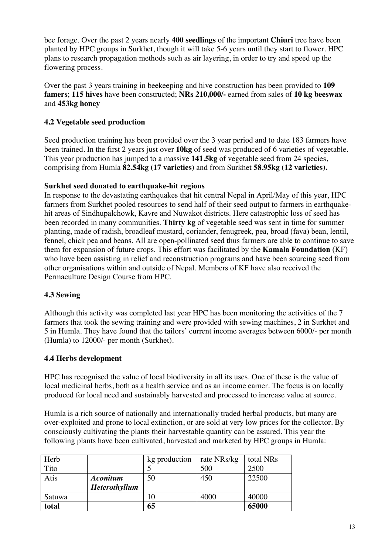bee forage. Over the past 2 years nearly **400 seedlings** of the important **Chiuri** tree have been planted by HPC groups in Surkhet, though it will take 5-6 years until they start to flower. HPC plans to research propagation methods such as air layering, in order to try and speed up the flowering process.

Over the past 3 years training in beekeeping and hive construction has been provided to **109 famers**; **115 hives** have been constructed; **NRs 210,000/-** earned from sales of **10 kg beeswax** and **453kg honey**

## **4.2 Vegetable seed production**

Seed production training has been provided over the 3 year period and to date 183 farmers have been trained. In the first 2 years just over **10kg** of seed was produced of 6 varieties of vegetable. This year production has jumped to a massive **141.5kg** of vegetable seed from 24 species, comprising from Humla **82.54kg (17 varieties)** and from Surkhet **58.95kg (12 varieties).**

## **Surkhet seed donated to earthquake-hit regions**

In response to the devastating earthquakes that hit central Nepal in April/May of this year, HPC farmers from Surkhet pooled resources to send half of their seed output to farmers in earthquakehit areas of Sindhupalchowk, Kavre and Nuwakot districts. Here catastrophic loss of seed has been recorded in many communities. **Thirty kg** of vegetable seed was sent in time for summer planting, made of radish, broadleaf mustard, coriander, fenugreek, pea, broad (fava) bean, lentil, fennel, chick pea and beans. All are open-pollinated seed thus farmers are able to continue to save them for expansion of future crops. This effort was facilitated by the **Kamala Foundation** (KF) who have been assisting in relief and reconstruction programs and have been sourcing seed from other organisations within and outside of Nepal. Members of KF have also received the Permaculture Design Course from HPC.

## **4.3 Sewing**

Although this activity was completed last year HPC has been monitoring the activities of the 7 farmers that took the sewing training and were provided with sewing machines, 2 in Surkhet and 5 in Humla. They have found that the tailors' current income averages between 6000/- per month (Humla) to 12000/- per month (Surkhet).

## **4.4 Herbs development**

HPC has recognised the value of local biodiversity in all its uses. One of these is the value of local medicinal herbs, both as a health service and as an income earner. The focus is on locally produced for local need and sustainably harvested and processed to increase value at source.

Humla is a rich source of nationally and internationally traded herbal products, but many are over-exploited and prone to local extinction, or are sold at very low prices for the collector. By consciously cultivating the plants their harvestable quantity can be assured. This year the following plants have been cultivated, harvested and marketed by HPC groups in Humla:

| Herb   |                      | kg production | rate NRs/kg | total NRs |
|--------|----------------------|---------------|-------------|-----------|
| Tito   |                      |               | 500         | 2500      |
| Atis   | <b>Aconitum</b>      | 50            | 450         | 22500     |
|        | <b>Heterothyllum</b> |               |             |           |
| Satuwa |                      |               | 4000        | 40000     |
| total  |                      | 65            |             | 65000     |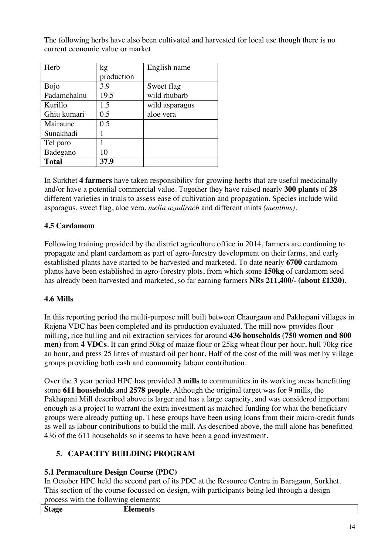| Herb         | kg         | English name   |
|--------------|------------|----------------|
|              | production |                |
| <b>Bojo</b>  | 3.9        | Sweet flag     |
| Padamchalnu  | 19.5       | wild rhubarb   |
| Kurillo      | 1.5        | wild asparagus |
| Ghiu kumari  | 0.5        | aloe vera      |
| Mairaune     | 0.5        |                |
| Sunakhadi    | 1          |                |
| Tel paro     |            |                |
| Badegano     | 10         |                |
| <b>Total</b> | 37.9       |                |

The following herbs have also been cultivated and harvested for local use though there is no current economic value or market

In Surkhet **4 farmers** have taken responsibility for growing herbs that are useful medicinally and/or have a potential commercial value. Together they have raised nearly **300 plants** of **28** different varieties in trials to assess ease of cultivation and propagation. Species include wild asparagus, sweet flag, aloe vera, *melia azadirach* and different mints *(menthus)*.

## **4.5 Cardamom**

Following training provided by the district agriculture office in 2014, farmers are continuing to propagate and plant cardamom as part of agro-forestry development on their farms, and early established plants have started to be harvested and marketed. To date nearly **6700** cardamom plants have been established in agro-forestry plots, from which some **150kg** of cardamom seed has already been harvested and marketed, so far earning farmers **NRs 211,400/- (about £1320)**.

## **4.6 Mills**

In this reporting period the multi-purpose mill built between Chaurgaun and Pakhapani villages in Rajena VDC has been completed and its production evaluated. The mill now provides flour milling, rice hulling and oil extraction services for around **436 households (750 women and 800 men)** from **4 VDCs**. It can grind 50kg of maize flour or 25kg wheat flour per hour, hull 70kg rice an hour, and press 25 litres of mustard oil per hour. Half of the cost of the mill was met by village groups providing both cash and community labour contribution.

Over the 3 year period HPC has provided **3 mills** to communities in its working areas benefitting some **611 households** and **2578 people**. Although the original target was for 9 mills, the Pakhapani Mill described above is larger and has a large capacity, and was considered important enough as a project to warrant the extra investment as matched funding for what the beneficiary groups were already putting up. These groups have been using loans from their micro-credit funds as well as labour contributions to build the mill. As described above, the mill alone has benefitted 436 of the 611 households so it seems to have been a good investment.

## **5. CAPACITY BUILDING PROGRAM**

## **5.1 Permaculture Design Course (PDC)**

In October HPC held the second part of its PDC at the Resource Centre in Baragaun, Surkhet. This section of the course focussed on design, with participants being led through a design process with the following elements:

| $\sim$<br>blay'<br>. . | --<br>-- |
|------------------------|----------|
|                        |          |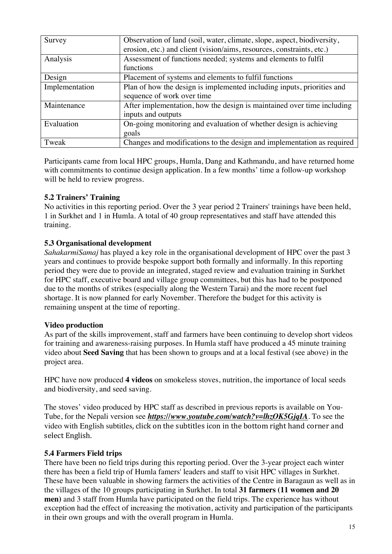| Survey         | Observation of land (soil, water, climate, slope, aspect, biodiversity, |  |  |
|----------------|-------------------------------------------------------------------------|--|--|
|                | erosion, etc.) and client (vision/aims, resources, constraints, etc.)   |  |  |
| Analysis       | Assessment of functions needed; systems and elements to fulfil          |  |  |
|                | functions                                                               |  |  |
| Design         | Placement of systems and elements to fulfil functions                   |  |  |
| Implementation | Plan of how the design is implemented including inputs, priorities and  |  |  |
|                | sequence of work over time                                              |  |  |
| Maintenance    | After implementation, how the design is maintained over time including  |  |  |
|                | inputs and outputs                                                      |  |  |
| Evaluation     | On-going monitoring and evaluation of whether design is achieving       |  |  |
|                | goals                                                                   |  |  |
| Tweak          | Changes and modifications to the design and implementation as required  |  |  |

Participants came from local HPC groups, Humla, Dang and Kathmandu, and have returned home with commitments to continue design application. In a few months' time a follow-up workshop will be held to review progress.

## **5.2 Trainers' Training**

No activities in this reporting period. Over the 3 year period 2 Trainers' trainings have been held, 1 in Surkhet and 1 in Humla. A total of 40 group representatives and staff have attended this training.

## **5.3 Organisational development**

*SahakarmiSamaj* has played a key role in the organisational development of HPC over the past 3 years and continues to provide bespoke support both formally and informally. In this reporting period they were due to provide an integrated, staged review and evaluation training in Surkhet for HPC staff, executive board and village group committees, but this has had to be postponed due to the months of strikes (especially along the Western Tarai) and the more recent fuel shortage. It is now planned for early November. Therefore the budget for this activity is remaining unspent at the time of reporting.

## **Video production**

As part of the skills improvement, staff and farmers have been continuing to develop short videos for training and awareness-raising purposes. In Humla staff have produced a 45 minute training video about **Seed Saving** that has been shown to groups and at a local festival (see above) in the project area.

HPC have now produced **4 videos** on smokeless stoves, nutrition, the importance of local seeds and biodiversity, and seed saving.

The stoves' video produced by HPC staff as described in previous reports is available on You-Tube, for the Nepali version see *https://www.youtube.com/watch?v=lhzOK5GjqIA*. To see the video with English subtitles, click on the subtitles icon in the bottom right hand corner and select English.

## **5.4 Farmers Field trips**

There have been no field trips during this reporting period. Over the 3-year project each winter there has been a field trip of Humla famers' leaders and staff to visit HPC villages in Surkhet. These have been valuable in showing farmers the activities of the Centre in Baragaun as well as in the villages of the 10 groups participating in Surkhet. In total **31 farmers (11 women and 20 men)** and 3 staff from Humla have participated on the field trips. The experience has without exception had the effect of increasing the motivation, activity and participation of the participants in their own groups and with the overall program in Humla.